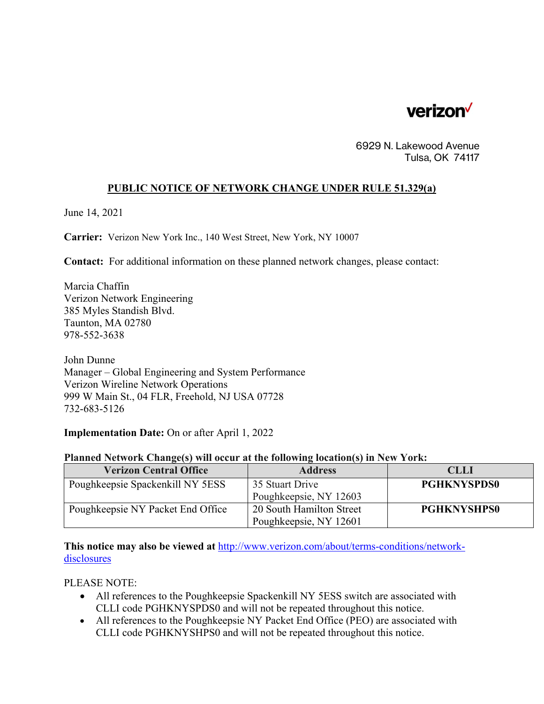

6929 N. Lakewood Avenue Tulsa, OK 74117

## **PUBLIC NOTICE OF NETWORK CHANGE UNDER RULE 51.329(a)**

June 14, 2021

**Carrier:** Verizon New York Inc., 140 West Street, New York, NY 10007

**Contact:** For additional information on these planned network changes, please contact:

Marcia Chaffin Verizon Network Engineering 385 Myles Standish Blvd. Taunton, MA 02780 978-552-3638

John Dunne Manager – Global Engineering and System Performance Verizon Wireline Network Operations 999 W Main St., 04 FLR, Freehold, NJ USA 07728 732-683-5126

**Implementation Date:** On or after April 1, 2022

## **Planned Network Change(s) will occur at the following location(s) in New York:**

| <b>Verizon Central Office</b>     | <b>Address</b>           | <b>CLLI</b>        |
|-----------------------------------|--------------------------|--------------------|
| Poughkeepsie Spackenkill NY 5ESS  | 35 Stuart Drive          | <b>PGHKNYSPDS0</b> |
|                                   | Poughkeepsie, NY 12603   |                    |
| Poughkeepsie NY Packet End Office | 20 South Hamilton Street | <b>PGHKNYSHPS0</b> |
|                                   | Poughkeepsie, NY 12601   |                    |

**This notice may also be viewed at** http://www.verizon.com/about/terms-conditions/networkdisclosures

PLEASE NOTE:

- All references to the Poughkeepsie Spackenkill NY 5ESS switch are associated with CLLI code PGHKNYSPDS0 and will not be repeated throughout this notice.
- All references to the Poughkeepsie NY Packet End Office (PEO) are associated with CLLI code PGHKNYSHPS0 and will not be repeated throughout this notice.